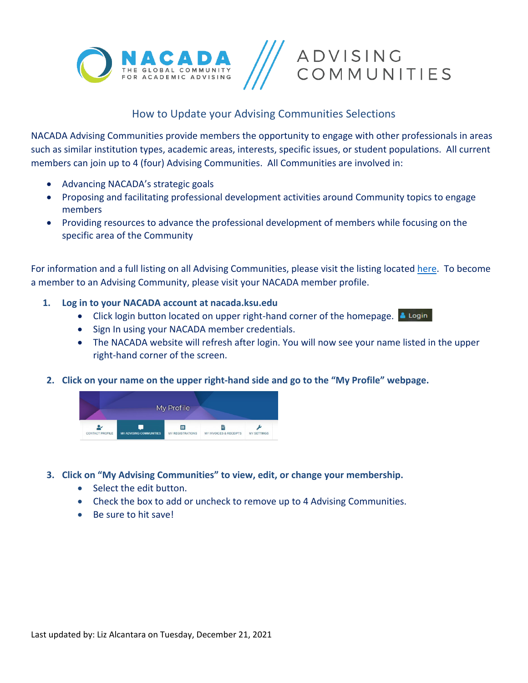



#### How to Update your Advising Communities Selections

NACADA Advising Communities provide members the opportunity to engage with other professionals in areas such as similar institution types, academic areas, interests, specific issues, or student populations. All current members can join up to 4 (four) Advising Communities. All Communities are involved in:

- Advancing NACADA's strategic goals
- Proposing and facilitating professional development activities around Community topics to engage members
- Providing resources to advance the professional development of members while focusing on the specific area of the Community

For information and a full listing on all Advising Communities, please visit the listing located [here.](https://nacada.ksu.edu/Community/Advising-Communities.aspx) To become a member to an Advising Community, please visit your NACADA member profile.

- **1. Log in to your NACADA account at nacada.ksu.edu**
	- Click login button located on upper right-hand corner of the homepage.  $\triangle$  Login
	- Sign In using your NACADA member credentials.
	- The NACADA website will refresh after login. You will now see your name listed in the upper right-hand corner of the screen.
- **2. Click on your name on the upper right-hand side and go to the "My Profile" webpage.**



- **3. Click on "My Advising Communities" to view, edit, or change your membership.**
	- Select the edit button.
	- Check the box to add or uncheck to remove up to 4 Advising Communities.
	- Be sure to hit save!